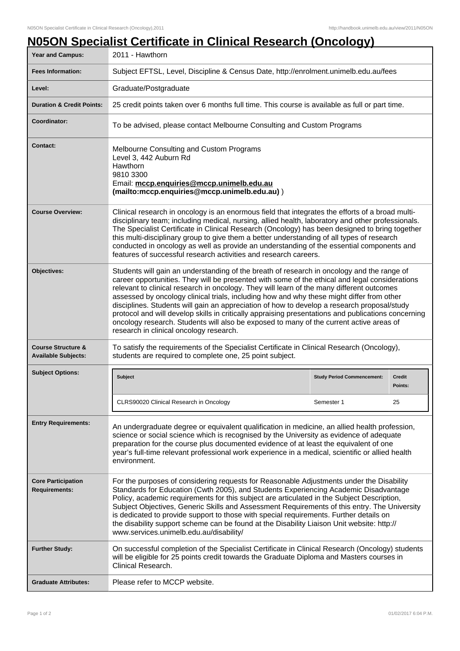|                                                             | <u>N05ON Specialist Certificate in Clinical Research (Oncology)</u>                                                                                                                                                                                                                                                                                                                                                                                                                                                                                                                                                                                                                                                                |                                                 |                                |  |
|-------------------------------------------------------------|------------------------------------------------------------------------------------------------------------------------------------------------------------------------------------------------------------------------------------------------------------------------------------------------------------------------------------------------------------------------------------------------------------------------------------------------------------------------------------------------------------------------------------------------------------------------------------------------------------------------------------------------------------------------------------------------------------------------------------|-------------------------------------------------|--------------------------------|--|
| Year and Campus:                                            | 2011 - Hawthorn                                                                                                                                                                                                                                                                                                                                                                                                                                                                                                                                                                                                                                                                                                                    |                                                 |                                |  |
| <b>Fees Information:</b>                                    | Subject EFTSL, Level, Discipline & Census Date, http://enrolment.unimelb.edu.au/fees                                                                                                                                                                                                                                                                                                                                                                                                                                                                                                                                                                                                                                               |                                                 |                                |  |
| Level:                                                      | Graduate/Postgraduate                                                                                                                                                                                                                                                                                                                                                                                                                                                                                                                                                                                                                                                                                                              |                                                 |                                |  |
| <b>Duration &amp; Credit Points:</b>                        | 25 credit points taken over 6 months full time. This course is available as full or part time.                                                                                                                                                                                                                                                                                                                                                                                                                                                                                                                                                                                                                                     |                                                 |                                |  |
| Coordinator:                                                | To be advised, please contact Melbourne Consulting and Custom Programs                                                                                                                                                                                                                                                                                                                                                                                                                                                                                                                                                                                                                                                             |                                                 |                                |  |
| <b>Contact:</b>                                             | Melbourne Consulting and Custom Programs<br>Level 3, 442 Auburn Rd<br>Hawthorn<br>9810 3300<br>Email: mccp.enquiries@mccp.unimelb.edu.au<br>(mailto:mccp.enquiries@mccp.unimelb.edu.au))                                                                                                                                                                                                                                                                                                                                                                                                                                                                                                                                           |                                                 |                                |  |
| <b>Course Overview:</b>                                     | Clinical research in oncology is an enormous field that integrates the efforts of a broad multi-<br>disciplinary team; including medical, nursing, allied health, laboratory and other professionals.<br>The Specialist Certificate in Clinical Research (Oncology) has been designed to bring together<br>this multi-disciplinary group to give them a better understanding of all types of research<br>conducted in oncology as well as provide an understanding of the essential components and<br>features of successful research activities and research careers.                                                                                                                                                             |                                                 |                                |  |
| Objectives:                                                 | Students will gain an understanding of the breath of research in oncology and the range of<br>career opportunities. They will be presented with some of the ethical and legal considerations<br>relevant to clinical research in oncology. They will learn of the many different outcomes<br>assessed by oncology clinical trials, including how and why these might differ from other<br>disciplines. Students will gain an appreciation of how to develop a research proposal/study<br>protocol and will develop skills in critically appraising presentations and publications concerning<br>oncology research. Students will also be exposed to many of the current active areas of<br>research in clinical oncology research. |                                                 |                                |  |
| <b>Course Structure &amp;</b><br><b>Available Subjects:</b> | To satisfy the requirements of the Specialist Certificate in Clinical Research (Oncology),<br>students are required to complete one, 25 point subject.                                                                                                                                                                                                                                                                                                                                                                                                                                                                                                                                                                             |                                                 |                                |  |
| <b>Subject Options:</b>                                     | <b>Subject</b><br>CLRS90020 Clinical Research in Oncology                                                                                                                                                                                                                                                                                                                                                                                                                                                                                                                                                                                                                                                                          | <b>Study Period Commencement:</b><br>Semester 1 | <b>Credit</b><br>Points:<br>25 |  |
| <b>Entry Requirements:</b>                                  | An undergraduate degree or equivalent qualification in medicine, an allied health profession,<br>science or social science which is recognised by the University as evidence of adequate<br>preparation for the course plus documented evidence of at least the equivalent of one<br>year's full-time relevant professional work experience in a medical, scientific or allied health<br>environment.                                                                                                                                                                                                                                                                                                                              |                                                 |                                |  |
| <b>Core Participation</b><br><b>Requirements:</b>           | For the purposes of considering requests for Reasonable Adjustments under the Disability<br>Standards for Education (Cwth 2005), and Students Experiencing Academic Disadvantage<br>Policy, academic requirements for this subject are articulated in the Subject Description,<br>Subject Objectives, Generic Skills and Assessment Requirements of this entry. The University<br>is dedicated to provide support to those with special requirements. Further details on<br>the disability support scheme can be found at the Disability Liaison Unit website: http://<br>www.services.unimelb.edu.au/disability/                                                                                                                  |                                                 |                                |  |
| <b>Further Study:</b>                                       | On successful completion of the Specialist Certificate in Clinical Research (Oncology) students<br>will be eligible for 25 points credit towards the Graduate Diploma and Masters courses in<br>Clinical Research.                                                                                                                                                                                                                                                                                                                                                                                                                                                                                                                 |                                                 |                                |  |
| <b>Graduate Attributes:</b>                                 | Please refer to MCCP website.                                                                                                                                                                                                                                                                                                                                                                                                                                                                                                                                                                                                                                                                                                      |                                                 |                                |  |